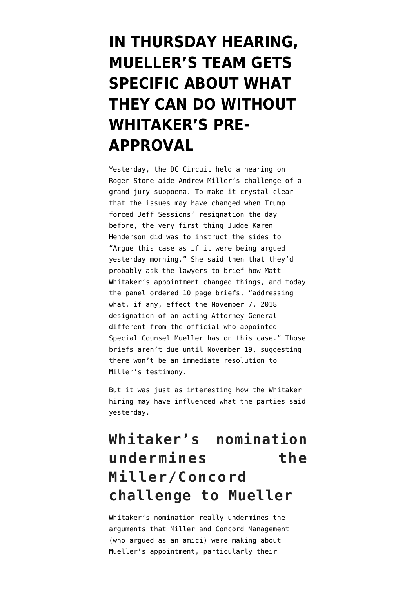## **[IN THURSDAY HEARING,](https://www.emptywheel.net/2018/11/09/in-thursday-hearing-muellers-team-gets-specific-about-what-they-can-do-without-whitakers-pre-approval/) [MUELLER'S TEAM GETS](https://www.emptywheel.net/2018/11/09/in-thursday-hearing-muellers-team-gets-specific-about-what-they-can-do-without-whitakers-pre-approval/) [SPECIFIC ABOUT WHAT](https://www.emptywheel.net/2018/11/09/in-thursday-hearing-muellers-team-gets-specific-about-what-they-can-do-without-whitakers-pre-approval/) [THEY CAN DO WITHOUT](https://www.emptywheel.net/2018/11/09/in-thursday-hearing-muellers-team-gets-specific-about-what-they-can-do-without-whitakers-pre-approval/) [WHITAKER'S PRE-](https://www.emptywheel.net/2018/11/09/in-thursday-hearing-muellers-team-gets-specific-about-what-they-can-do-without-whitakers-pre-approval/)[APPROVAL](https://www.emptywheel.net/2018/11/09/in-thursday-hearing-muellers-team-gets-specific-about-what-they-can-do-without-whitakers-pre-approval/)**

Yesterday, the DC Circuit held a [hearing](https://www.cadc.uscourts.gov/recordings/recordings2018.nsf/C243B4EAC362B7B18525833F0076C55D/$file/18-3052.mp3) on Roger Stone aide Andrew Miller's challenge of a grand jury subpoena. To make it crystal clear that the issues may have changed when Trump forced Jeff Sessions' resignation the day before, the very first thing Judge Karen Henderson did was to instruct the sides to "Argue this case as if it were being argued yesterday morning." She said then that they'd probably ask the lawyers to brief how Matt Whitaker's appointment changed things, and today the panel ordered 10 page briefs, "addressing what, if any, effect the November 7, 2018 designation of an acting Attorney General different from the official who appointed Special Counsel Mueller has on this case." Those briefs aren't due until November 19, suggesting there won't be an immediate resolution to Miller's testimony.

But it was just as interesting how the Whitaker hiring may have influenced what the parties said yesterday.

## **Whitaker's nomination undermines the Miller/Concord challenge to Mueller**

Whitaker's nomination really undermines the arguments that Miller and Concord Management (who argued as an amici) were making about Mueller's appointment, particularly their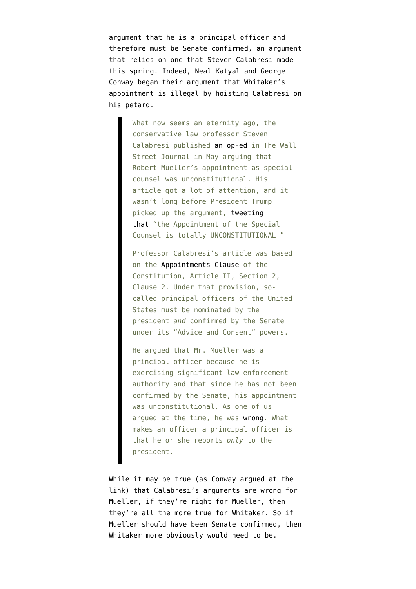argument that he is a principal officer and therefore must be Senate confirmed, an argument that relies on one that Steven Calabresi made this spring. Indeed, Neal Katyal and George Conway [began](https://www.nytimes.com/2018/11/08/opinion/trump-attorney-general-sessions-unconstitutional.html) their argument that Whitaker's appointment is illegal by hoisting Calabresi on his petard.

> What now seems an eternity ago, the conservative law professor Steven Calabresi published [an op-ed](https://www.wsj.com/articles/muellers-investigation-crosses-the-legal-line-1526233750) in The Wall Street Journal in May arguing that Robert Mueller's appointment as special counsel was unconstitutional. His article got a lot of attention, and it wasn't long before President Trump picked up the argument, [tweeting](https://twitter.com/realdonaldtrump/status/1003637916919320577?lang=en) [that](https://twitter.com/realdonaldtrump/status/1003637916919320577?lang=en) "the Appointment of the Special Counsel is totally UNCONSTITUTIONAL!"

Professor Calabresi's article was based on the [Appointments Clause](https://constitutioncenter.org/interactive-constitution/articles/article-ii) of the Constitution, Article II, Section 2, Clause 2. Under that provision, socalled principal officers of the United States must be nominated by the president *and* confirmed by the Senate under its "Advice and Consent" powers.

He argued that Mr. Mueller was a principal officer because he is exercising significant law enforcement authority and that since he has not been confirmed by the Senate, his appointment was unconstitutional. As one of us argued at the time, he was [wrong](https://www.lawfareblog.com/terrible-arguments-against-constitutionality-mueller-investigation). What makes an officer a principal officer is that he or she reports *only* to the president.

While it may be true (as Conway argued at the link) that Calabresi's arguments are wrong for Mueller, if they're right for Mueller, then they're all the more true for Whitaker. So if Mueller should have been Senate confirmed, then Whitaker more obviously would need to be.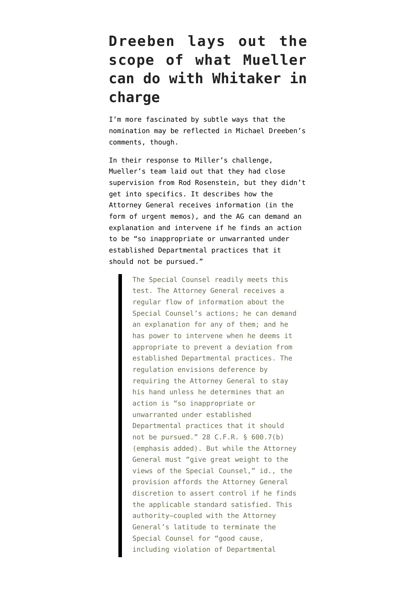## **Dreeben lays out the scope of what Mueller can do with Whitaker in charge**

I'm more fascinated by subtle ways that the nomination may be reflected in Michael Dreeben's comments, though.

In their [response](https://www.emptywheel.net/wp-content/uploads/2018/11/180928-Miller-Response.pdf) to Miller's challenge, Mueller's team laid out that they had close supervision from Rod Rosenstein, but they didn't get into specifics. It describes how the Attorney General receives information (in the form of urgent memos), and the AG can demand an explanation and intervene if he finds an action to be "so inappropriate or unwarranted under established Departmental practices that it should not be pursued."

> The Special Counsel readily meets this test. The Attorney General receives a regular flow of information about the Special Counsel's actions; he can demand an explanation for any of them; and he has power to intervene when he deems it appropriate to prevent a deviation from established Departmental practices. The regulation envisions deference by requiring the Attorney General to stay his hand unless he determines that an action is "so inappropriate or unwarranted under established Departmental practices that it should not be pursued." 28 C.F.R. § 600.7(b) (emphasis added). But while the Attorney General must "give great weight to the views of the Special Counsel," id., the provision affords the Attorney General discretion to assert control if he finds the applicable standard satisfied. This authority—coupled with the Attorney General's latitude to terminate the Special Counsel for "good cause, including violation of Departmental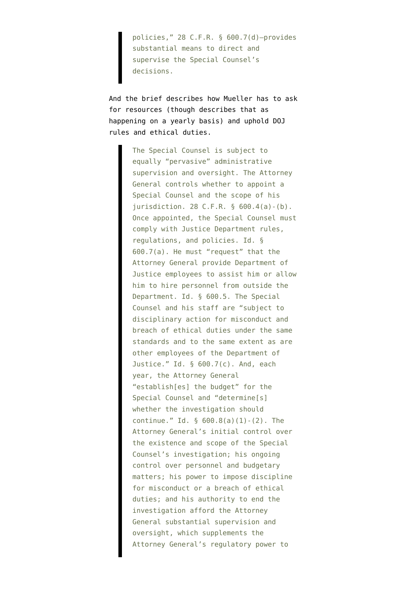policies," 28 C.F.R. § 600.7(d)—provides substantial means to direct and supervise the Special Counsel's decisions.

And the brief describes how Mueller has to ask for resources (though describes that as happening on a yearly basis) and uphold DOJ rules and ethical duties.

> The Special Counsel is subject to equally "pervasive" administrative supervision and oversight. The Attorney General controls whether to appoint a Special Counsel and the scope of his jurisdiction. 28 C.F.R. § 600.4(a)-(b). Once appointed, the Special Counsel must comply with Justice Department rules, regulations, and policies. Id. § 600.7(a). He must "request" that the Attorney General provide Department of Justice employees to assist him or allow him to hire personnel from outside the Department. Id. § 600.5. The Special Counsel and his staff are "subject to disciplinary action for misconduct and breach of ethical duties under the same standards and to the same extent as are other employees of the Department of Justice." Id. § 600.7(c). And, each year, the Attorney General "establish[es] the budget" for the Special Counsel and "determine[s] whether the investigation should continue." Id. § 600.8(a)(1)-(2). The Attorney General's initial control over the existence and scope of the Special Counsel's investigation; his ongoing control over personnel and budgetary matters; his power to impose discipline for misconduct or a breach of ethical duties; and his authority to end the investigation afford the Attorney General substantial supervision and oversight, which supplements the Attorney General's regulatory power to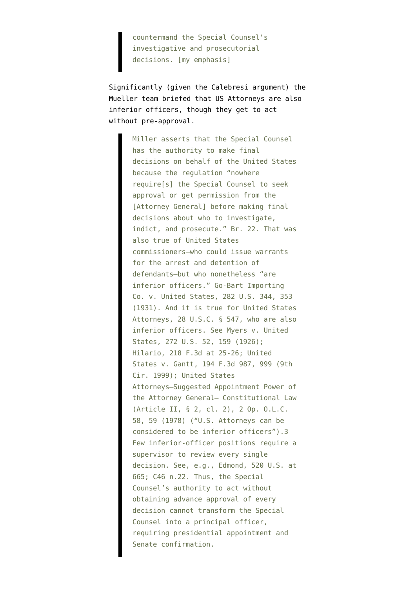countermand the Special Counsel's investigative and prosecutorial decisions. [my emphasis]

Significantly (given the Calebresi argument) the Mueller team briefed that US Attorneys are also inferior officers, though they get to act without pre-approval.

> Miller asserts that the Special Counsel has the authority to make final decisions on behalf of the United States because the regulation "nowhere require[s] the Special Counsel to seek approval or get permission from the [Attorney General] before making final decisions about who to investigate, indict, and prosecute." Br. 22. That was also true of United States commissioners—who could issue warrants for the arrest and detention of defendants—but who nonetheless "are inferior officers." Go-Bart Importing Co. v. United States, 282 U.S. 344, 353 (1931). And it is true for United States Attorneys, 28 U.S.C. § 547, who are also inferior officers. See Myers v. United States, 272 U.S. 52, 159 (1926); Hilario, 218 F.3d at 25-26; United States v. Gantt, 194 F.3d 987, 999 (9th Cir. 1999); United States Attorneys—Suggested Appointment Power of the Attorney General— Constitutional Law (Article II, § 2, cl. 2), 2 Op. O.L.C. 58, 59 (1978) ("U.S. Attorneys can be considered to be inferior officers").3 Few inferior-officer positions require a supervisor to review every single decision. See, e.g., Edmond, 520 U.S. at 665; C46 n.22. Thus, the Special Counsel's authority to act without obtaining advance approval of every decision cannot transform the Special Counsel into a principal officer, requiring presidential appointment and Senate confirmation.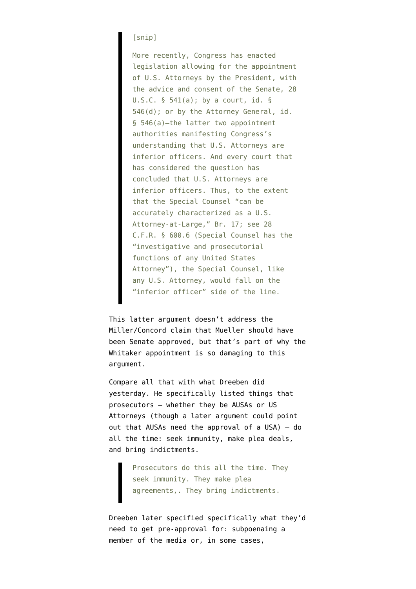## [snip]

More recently, Congress has enacted legislation allowing for the appointment of U.S. Attorneys by the President, with the advice and consent of the Senate, 28 U.S.C.  $\S$  541(a); by a court, id.  $\S$ 546(d); or by the Attorney General, id. § 546(a)—the latter two appointment authorities manifesting Congress's understanding that U.S. Attorneys are inferior officers. And every court that has considered the question has concluded that U.S. Attorneys are inferior officers. Thus, to the extent that the Special Counsel "can be accurately characterized as a U.S. Attorney-at-Large," Br. 17; see 28 C.F.R. § 600.6 (Special Counsel has the "investigative and prosecutorial functions of any United States Attorney"), the Special Counsel, like any U.S. Attorney, would fall on the "inferior officer" side of the line.

This latter argument doesn't address the Miller/Concord claim that Mueller should have been Senate approved, but that's part of why the Whitaker appointment is so damaging to this argument.

Compare all that with what Dreeben did yesterday. He specifically listed things that prosecutors — whether they be AUSAs or US Attorneys (though a later argument could point out that AUSAs need the approval of a USA) — do all the time: seek immunity, make plea deals, and bring indictments.

> Prosecutors do this all the time. They seek immunity. They make plea agreements,. They bring indictments.

Dreeben later specified specifically what they'd need to get pre-approval for: subpoenaing a member of the media or, in some cases,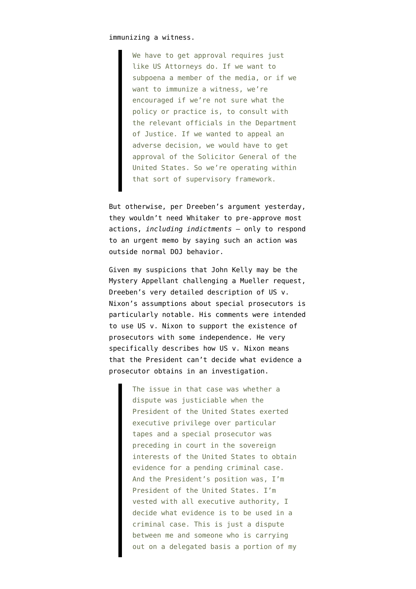immunizing a witness.

We have to get approval requires just like US Attorneys do. If we want to subpoena a member of the media, or if we want to immunize a witness, we're encouraged if we're not sure what the policy or practice is, to consult with the relevant officials in the Department of Justice. If we wanted to appeal an adverse decision, we would have to get approval of the Solicitor General of the United States. So we're operating within that sort of supervisory framework.

But otherwise, per Dreeben's argument yesterday, they wouldn't need Whitaker to pre-approve most actions, *including indictments* — only to respond to an urgent memo by saying such an action was outside normal DOJ behavior.

Given my suspicions that John Kelly may be [the](https://www.emptywheel.net/2018/10/31/no-mueller-probably-didnt-subpoena-trump-yet/) [Mystery Appellant challenging a Mueller request,](https://www.emptywheel.net/2018/10/31/no-mueller-probably-didnt-subpoena-trump-yet/) Dreeben's very detailed description of US v. Nixon's assumptions about special prosecutors is particularly notable. His comments were intended to use US v. Nixon to support the existence of prosecutors with some independence. He very specifically describes how US v. Nixon means that the President can't decide what evidence a prosecutor obtains in an investigation.

> The issue in that case was whether a dispute was justiciable when the President of the United States exerted executive privilege over particular tapes and a special prosecutor was preceding in court in the sovereign interests of the United States to obtain evidence for a pending criminal case. And the President's position was, I'm President of the United States. I'm vested with all executive authority, I decide what evidence is to be used in a criminal case. This is just a dispute between me and someone who is carrying out on a delegated basis a portion of my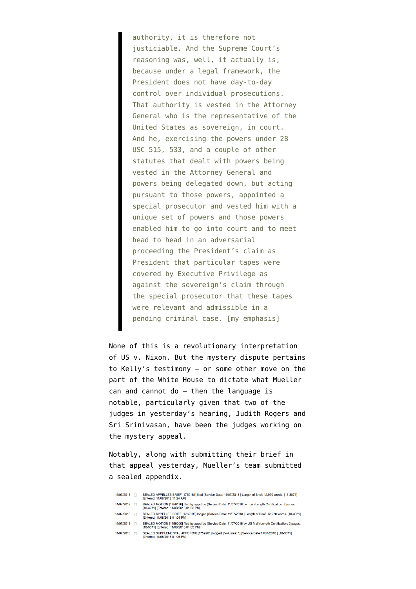authority, it is therefore not justiciable. And the Supreme Court's reasoning was, well, it actually is, because under a legal framework, the President does not have day-to-day control over individual prosecutions. That authority is vested in the Attorney General who is the representative of the United States as sovereign, in court. And he, exercising the powers under 28 USC 515, 533, and a couple of other statutes that dealt with powers being vested in the Attorney General and powers being delegated down, but acting pursuant to those powers, appointed a special prosecutor and vested him with a unique set of powers and those powers enabled him to go into court and to meet head to head in an adversarial proceeding the President's claim as President that particular tapes were covered by Executive Privilege as against the sovereign's claim through the special prosecutor that these tapes were relevant and admissible in a pending criminal case. [my emphasis]

None of this is a revolutionary interpretation of US v. Nixon. But the mystery dispute pertains to Kelly's testimony — or some other move on the part of the White House to dictate what Mueller can and cannot do — then the language is notable, particularly given that two of the judges in yesterday's hearing, Judith Rogers and Sri Srinivasan, have been the judges working on the mystery appeal.

Notably, along with submitting their brief in that appeal yesterday, Mueller's team submitted a sealed appendix.

| 11/07/2018 | SEALED APPELLEE BRIEF [1759161] filed [Service Date: 11/07/2018 ] Length of Brief: 12,970 words, [18-3071]<br>[Entered: 11/08/2018 11:24 AM]               |
|------------|------------------------------------------------------------------------------------------------------------------------------------------------------------|
| 11/07/2018 | SEALED MOTION [1759196] filed by appellee (Service Date: 11/07/2018 by mail) Length Certification: 2 pages.<br>[18-3071] [Entered: 11/08/2018 01:02 PM]    |
| 11/07/2018 | SEALED APPELLEE BRIEF [1759198] lodged [Service Date: 11/07/2018 ] Length of Brief: 12.970 words, [18-3071]<br>[Entered: 11/08/2018 01:04 PM]              |
| 11/07/2018 | SEALED MOTION [1759200] filed by appellee (Service Date: 11/07/2018 by US Mail) Length Certification: 2 pages.<br>[18-3071] [Entered: 11/08/2018 01:05 PM] |
| 11/07/2018 | SEALED SUPPLEMENTAL APPENDIX [1759201] Iodged, IVolumes: 11 [Service Date: 11/07/2018 ] [18-3071]                                                          |

[Entered: 11/08/2018 01:06 PM]